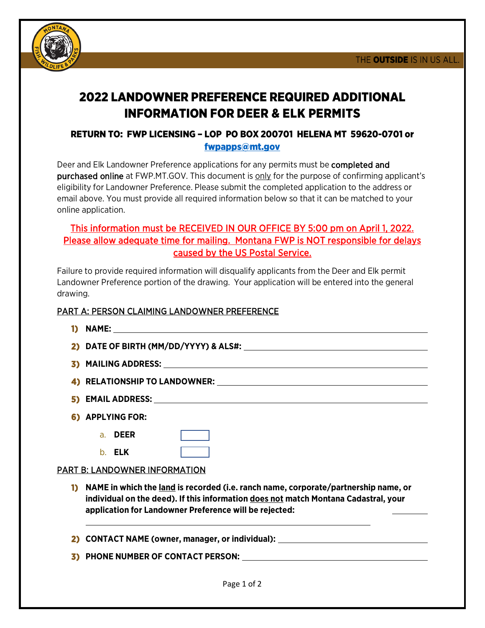

# 2022 LANDOWNER PREFERENCE REQUIRED ADDITIONAL INFORMATION FOR DEER & ELK PERMITS

### RETURN TO: FWP LICENSING – LOP PO BOX 200701 HELENA MT 59620-0701 or [fwpapps@mt.gov](mailto:fwpapps@mt.gov)

Deer and Elk Landowner Preference applications for any permits must be completed and purchased online at FWP.MT.GOV. This document is only for the purpose of confirming applicant's eligibility for Landowner Preference. Please submit the completed application to the address or email above. You must provide all required information below so that it can be matched to your online application.

# This information must be RECEIVED IN OUR OFFICE BY 5:00 pm on April 1, 2022. Please allow adequate time for mailing. Montana FWP is NOT responsible for delays caused by the US Postal Service.

Failure to provide required information will disqualify applicants from the Deer and Elk permit Landowner Preference portion of the drawing. Your application will be entered into the general drawing.

#### PART A: PERSON CLAIMING LANDOWNER PREFERENCE

| 6) APPLYING FOR: |
|------------------|
| a <b>DEER</b>    |

b. **ELK** 

# PART B: LANDOWNER INFORMATION

- **1) NAME in which the land is recorded (i.e. ranch name, corporate/partnership name, or individual on the deed). If this information does not match Montana Cadastral, your application for Landowner Preference will be rejected:**
- **2) CONTACT NAME (owner, manager, or individual):**
- **3) PHONE NUMBER OF CONTACT PERSON:**